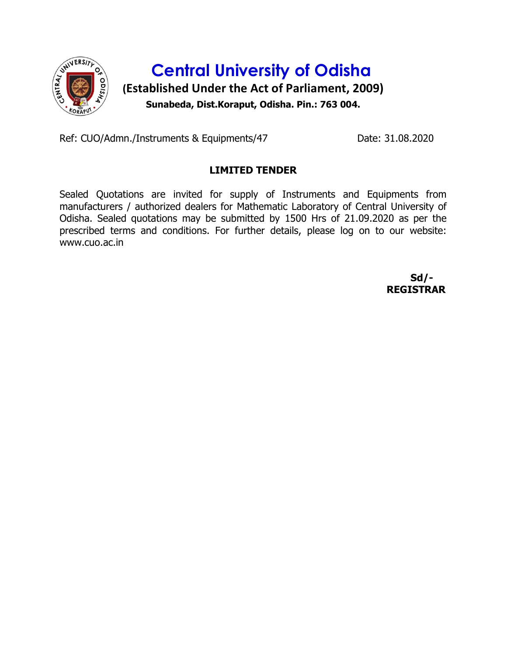

Ref: CUO/Admn./Instruments & Equipments/47 Date: 31.08.2020

## LIMITED TENDER

Sealed Quotations are invited for supply of Instruments and Equipments from manufacturers / authorized dealers for Mathematic Laboratory of Central University of Odisha. Sealed quotations may be submitted by 1500 Hrs of 21.09.2020 as per the prescribed terms and conditions. For further details, please log on to our website: www.cuo.ac.in

> Sd/- REGISTRAR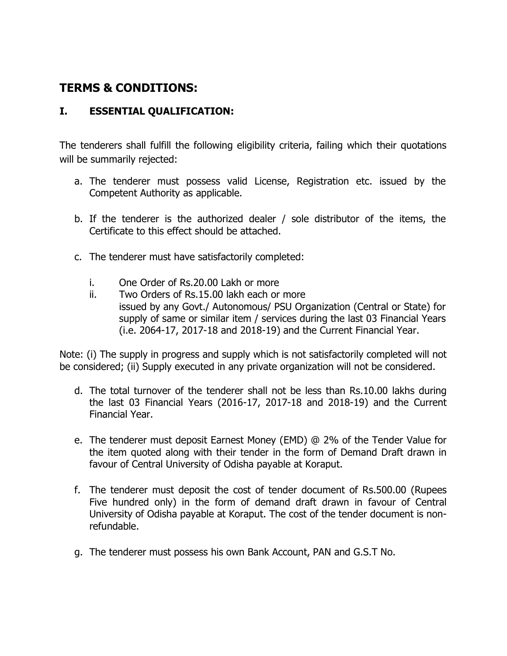# TERMS & CONDITIONS:

## I. ESSENTIAL QUALIFICATION:

The tenderers shall fulfill the following eligibility criteria, failing which their quotations will be summarily rejected:

- a. The tenderer must possess valid License, Registration etc. issued by the Competent Authority as applicable.
- b. If the tenderer is the authorized dealer / sole distributor of the items, the Certificate to this effect should be attached.
- c. The tenderer must have satisfactorily completed:
	- i. One Order of Rs.20.00 Lakh or more
	- ii. Two Orders of Rs.15.00 lakh each or more issued by any Govt./ Autonomous/ PSU Organization (Central or State) for supply of same or similar item / services during the last 03 Financial Years (i.e. 2064-17, 2017-18 and 2018-19) and the Current Financial Year.

Note: (i) The supply in progress and supply which is not satisfactorily completed will not be considered; (ii) Supply executed in any private organization will not be considered.

- d. The total turnover of the tenderer shall not be less than Rs.10.00 lakhs during the last 03 Financial Years (2016-17, 2017-18 and 2018-19) and the Current Financial Year.
- e. The tenderer must deposit Earnest Money (EMD) @ 2% of the Tender Value for the item quoted along with their tender in the form of Demand Draft drawn in favour of Central University of Odisha payable at Koraput.
- f. The tenderer must deposit the cost of tender document of Rs.500.00 (Rupees Five hundred only) in the form of demand draft drawn in favour of Central University of Odisha payable at Koraput. The cost of the tender document is nonrefundable.
- g. The tenderer must possess his own Bank Account, PAN and G.S.T No.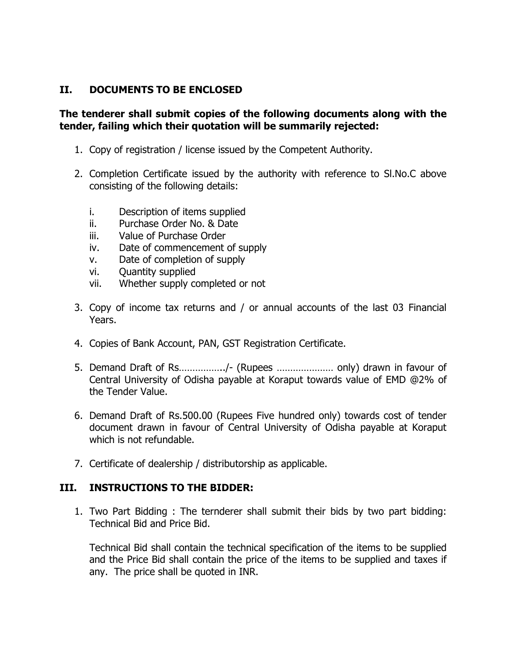#### II. DOCUMENTS TO BE ENCLOSED

#### The tenderer shall submit copies of the following documents along with the tender, failing which their quotation will be summarily rejected:

- 1. Copy of registration / license issued by the Competent Authority.
- 2. Completion Certificate issued by the authority with reference to Sl.No.C above consisting of the following details:
	- i. Description of items supplied
	- ii. Purchase Order No. & Date
	- iii. Value of Purchase Order
	- iv. Date of commencement of supply
	- v. Date of completion of supply
	- vi. Quantity supplied
	- vii. Whether supply completed or not
- 3. Copy of income tax returns and / or annual accounts of the last 03 Financial Years.
- 4. Copies of Bank Account, PAN, GST Registration Certificate.
- 5. Demand Draft of Rs……………../- (Rupees ………………… only) drawn in favour of Central University of Odisha payable at Koraput towards value of EMD @2% of the Tender Value.
- 6. Demand Draft of Rs.500.00 (Rupees Five hundred only) towards cost of tender document drawn in favour of Central University of Odisha payable at Koraput which is not refundable.
- 7. Certificate of dealership / distributorship as applicable.

#### III. INSTRUCTIONS TO THE BIDDER:

1. Two Part Bidding : The ternderer shall submit their bids by two part bidding: Technical Bid and Price Bid.

Technical Bid shall contain the technical specification of the items to be supplied and the Price Bid shall contain the price of the items to be supplied and taxes if any. The price shall be quoted in INR.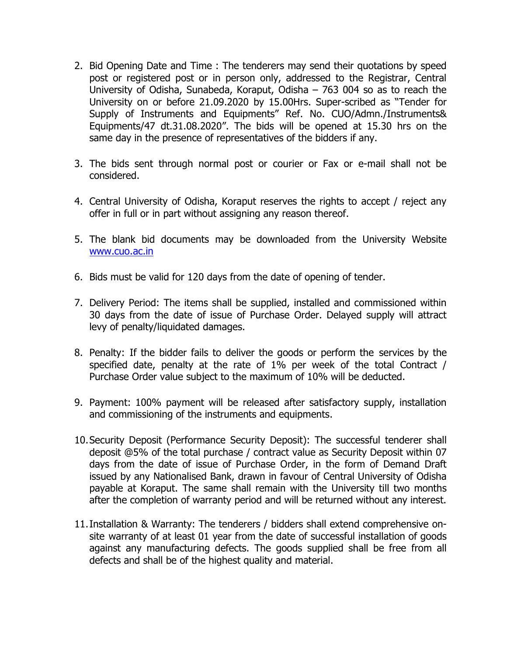- 2. Bid Opening Date and Time : The tenderers may send their quotations by speed post or registered post or in person only, addressed to the Registrar, Central University of Odisha, Sunabeda, Koraput, Odisha – 763 004 so as to reach the University on or before 21.09.2020 by 15.00Hrs. Super-scribed as "Tender for Supply of Instruments and Equipments" Ref. No. CUO/Admn./Instruments& Equipments/47 dt.31.08.2020". The bids will be opened at 15.30 hrs on the same day in the presence of representatives of the bidders if any.
- 3. The bids sent through normal post or courier or Fax or e-mail shall not be considered.
- 4. Central University of Odisha, Koraput reserves the rights to accept / reject any offer in full or in part without assigning any reason thereof.
- 5. The blank bid documents may be downloaded from the University Website www.cuo.ac.in
- 6. Bids must be valid for 120 days from the date of opening of tender.
- 7. Delivery Period: The items shall be supplied, installed and commissioned within 30 days from the date of issue of Purchase Order. Delayed supply will attract levy of penalty/liquidated damages.
- 8. Penalty: If the bidder fails to deliver the goods or perform the services by the specified date, penalty at the rate of 1% per week of the total Contract / Purchase Order value subject to the maximum of 10% will be deducted.
- 9. Payment: 100% payment will be released after satisfactory supply, installation and commissioning of the instruments and equipments.
- 10.Security Deposit (Performance Security Deposit): The successful tenderer shall deposit @5% of the total purchase / contract value as Security Deposit within 07 days from the date of issue of Purchase Order, in the form of Demand Draft issued by any Nationalised Bank, drawn in favour of Central University of Odisha payable at Koraput. The same shall remain with the University till two months after the completion of warranty period and will be returned without any interest.
- 11.Installation & Warranty: The tenderers / bidders shall extend comprehensive onsite warranty of at least 01 year from the date of successful installation of goods against any manufacturing defects. The goods supplied shall be free from all defects and shall be of the highest quality and material.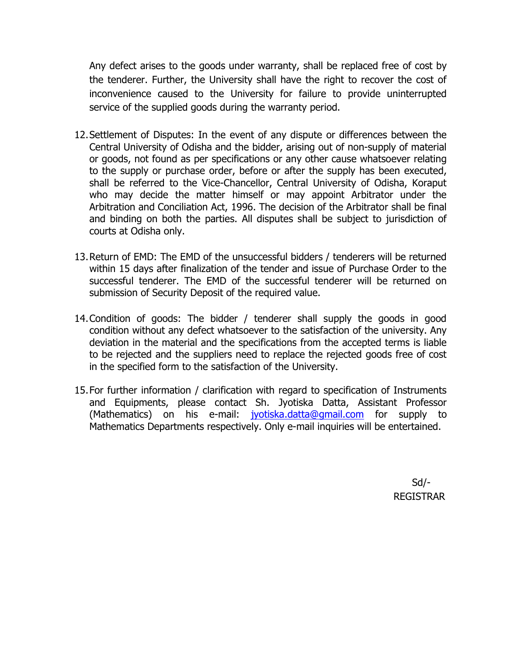Any defect arises to the goods under warranty, shall be replaced free of cost by the tenderer. Further, the University shall have the right to recover the cost of inconvenience caused to the University for failure to provide uninterrupted service of the supplied goods during the warranty period.

- 12.Settlement of Disputes: In the event of any dispute or differences between the Central University of Odisha and the bidder, arising out of non-supply of material or goods, not found as per specifications or any other cause whatsoever relating to the supply or purchase order, before or after the supply has been executed, shall be referred to the Vice-Chancellor, Central University of Odisha, Koraput who may decide the matter himself or may appoint Arbitrator under the Arbitration and Conciliation Act, 1996. The decision of the Arbitrator shall be final and binding on both the parties. All disputes shall be subject to jurisdiction of courts at Odisha only.
- 13.Return of EMD: The EMD of the unsuccessful bidders / tenderers will be returned within 15 days after finalization of the tender and issue of Purchase Order to the successful tenderer. The EMD of the successful tenderer will be returned on submission of Security Deposit of the required value.
- 14.Condition of goods: The bidder / tenderer shall supply the goods in good condition without any defect whatsoever to the satisfaction of the university. Any deviation in the material and the specifications from the accepted terms is liable to be rejected and the suppliers need to replace the rejected goods free of cost in the specified form to the satisfaction of the University.
- 15.For further information / clarification with regard to specification of Instruments and Equipments, please contact Sh. Jyotiska Datta, Assistant Professor (Mathematics) on his e-mail: **jyotiska.datta@gmail.com** for supply to Mathematics Departments respectively. Only e-mail inquiries will be entertained.

 Sd/- REGISTRAR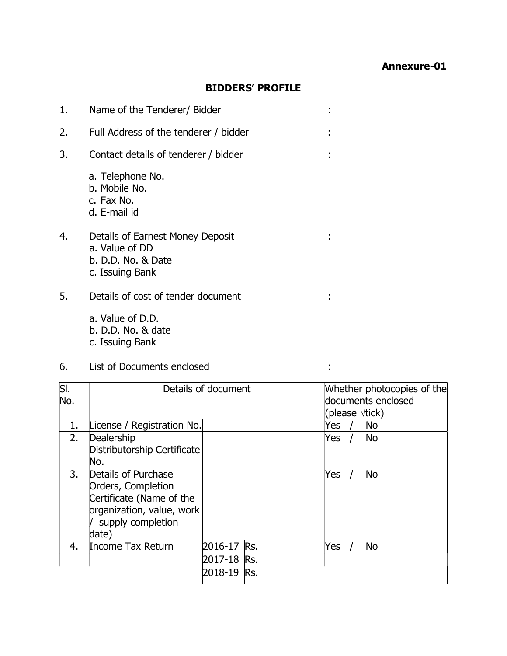## BIDDERS' PROFILE

| 1. | Name of the Tenderer/ Bidder                                                                |  |
|----|---------------------------------------------------------------------------------------------|--|
| 2. | Full Address of the tenderer / bidder                                                       |  |
| 3. | Contact details of tenderer / bidder                                                        |  |
|    | a. Telephone No.<br>b. Mobile No.<br>c. Fax No.<br>d. E-mail id                             |  |
| 4. | Details of Earnest Money Deposit<br>a. Value of DD<br>b. D.D. No. & Date<br>c. Issuing Bank |  |
| 5. | Details of cost of tender document                                                          |  |
|    | a. Value of D.D.<br>b. D.D. No. & date                                                      |  |

c. Issuing Bank

6. List of Documents enclosed :

| SI.<br>No. | Details of document                                                                                                              |             |     | Whether photocopies of the<br>documents enclosed<br>(please $\forall$ tick) |  |           |  |
|------------|----------------------------------------------------------------------------------------------------------------------------------|-------------|-----|-----------------------------------------------------------------------------|--|-----------|--|
| 1.         | License / Registration No.                                                                                                       |             |     | Yes                                                                         |  | <b>No</b> |  |
| 2.         | Dealership<br>Distributorship Certificate<br>No.                                                                                 |             |     | Yes /                                                                       |  | No        |  |
| 3.         | Details of Purchase<br>Orders, Completion<br>Certificate (Name of the<br>organization, value, work<br>supply completion<br>date) |             |     | Yes                                                                         |  | No        |  |
| 4.         | Income Tax Return                                                                                                                | 2016-17     | Rs. | Yes                                                                         |  | <b>No</b> |  |
|            |                                                                                                                                  | 2017-18 Rs. |     |                                                                             |  |           |  |
|            |                                                                                                                                  | 2018-19     | Rs. |                                                                             |  |           |  |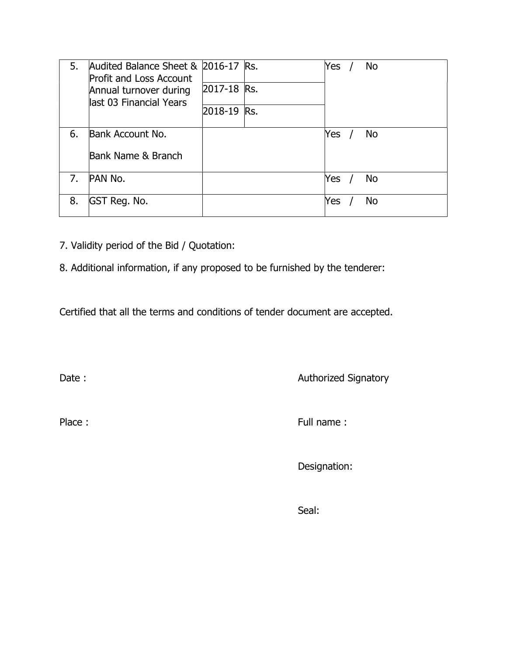| 5. | Audited Balance Sheet & 2016-17 Rs.<br><b>Profit and Loss Account</b><br>Annual turnover during<br>last 03 Financial Years |             | Yes |  | No |
|----|----------------------------------------------------------------------------------------------------------------------------|-------------|-----|--|----|
|    |                                                                                                                            | 2017-18 Rs. |     |  |    |
|    |                                                                                                                            | 2018-19 Rs. |     |  |    |
| 6. | Bank Account No.                                                                                                           |             | Yes |  | No |
|    | Bank Name & Branch                                                                                                         |             |     |  |    |
| 7. | PAN No.                                                                                                                    |             | Yes |  | No |
| 8. | GST Reg. No.                                                                                                               |             | Yes |  | No |

- 7. Validity period of the Bid / Quotation:
- 8. Additional information, if any proposed to be furnished by the tenderer:

Certified that all the terms and conditions of tender document are accepted.

Date : **Authorized Signatory** 

Place : Full name : Full name :

Designation:

Seal: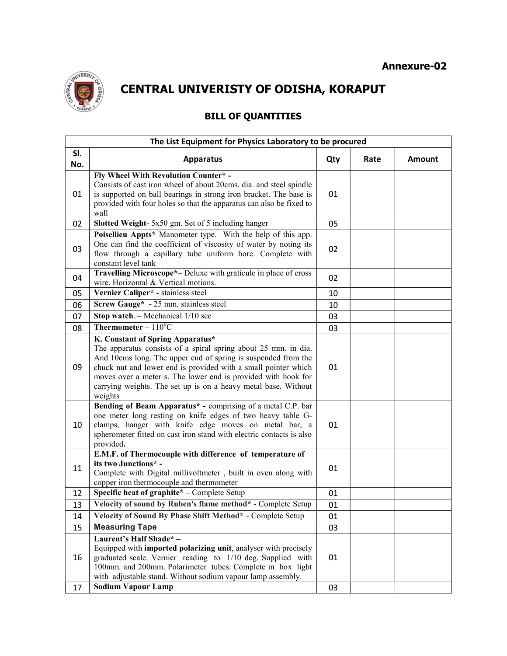

CENTRAL UNIVERISTY OF ODISHA, KORAPUT

# BILL OF QUANTITIES

| The List Equipment for Physics Laboratory to be procured |                                                                                                                                                                                                                                                                                                                                                                                     |     |      |        |  |  |
|----------------------------------------------------------|-------------------------------------------------------------------------------------------------------------------------------------------------------------------------------------------------------------------------------------------------------------------------------------------------------------------------------------------------------------------------------------|-----|------|--------|--|--|
| SI.<br>No.                                               | <b>Apparatus</b>                                                                                                                                                                                                                                                                                                                                                                    | Qty | Rate | Amount |  |  |
| 01                                                       | Fly Wheel With Revolution Counter* -<br>Consists of cast iron wheel of about 20cms. dia. and steel spindle<br>is supported on ball bearings in strong iron bracket. The base is<br>provided with four holes so that the apparatus can also be fixed to<br>wall                                                                                                                      | 01  |      |        |  |  |
| 02                                                       | Slotted Weight- 5x50 gm. Set of 5 including hanger                                                                                                                                                                                                                                                                                                                                  | 05  |      |        |  |  |
| 03                                                       | Poisellieu Appts* Manometer type. With the help of this app.<br>One can find the coefficient of viscosity of water by noting its<br>flow through a capillary tube uniform bore. Complete with<br>constant level tank                                                                                                                                                                | 02  |      |        |  |  |
| 04                                                       | Travelling Microscope*- Deluxe with graticule in place of cross<br>wire. Horizontal & Vertical motions.                                                                                                                                                                                                                                                                             | 02  |      |        |  |  |
| 05                                                       | Vernier Caliper <sup>*</sup> - stainless steel                                                                                                                                                                                                                                                                                                                                      | 10  |      |        |  |  |
| 06                                                       | Screw Gauge* - 25 mm. stainless steel                                                                                                                                                                                                                                                                                                                                               | 10  |      |        |  |  |
| 07                                                       | Stop watch. $-$ Mechanical $1/10$ sec                                                                                                                                                                                                                                                                                                                                               | 03  |      |        |  |  |
| 08                                                       | Thermometer – $110^0C$                                                                                                                                                                                                                                                                                                                                                              | 03  |      |        |  |  |
| 09                                                       | K. Constant of Spring Apparatus*<br>The apparatus consists of a spiral spring about 25 mm. in dia.<br>And 10cms long. The upper end of spring is suspended from the<br>chuck nut and lower end is provided with a small pointer which<br>moves over a meter s. The lower end is provided with hook for<br>carrying weights. The set up is on a heavy metal base. Without<br>weights | 01  |      |        |  |  |
| 10                                                       | Bending of Beam Apparatus* - comprising of a metal C.P. bar<br>one meter long resting on knife edges of two heavy table G-<br>clamps, hanger with knife edge moves on metal bar, a<br>spherometer fitted on cast iron stand with electric contacts is also<br>provided.                                                                                                             | 01  |      |        |  |  |
| 11                                                       | E.M.F. of Thermocouple with difference of temperature of<br>its two Junctions* -<br>Complete with Digital millivoltmeter, built in oven along with<br>copper iron thermocouple and thermometer                                                                                                                                                                                      | 01  |      |        |  |  |
| 12                                                       | Specific heat of graphite* - Complete Setup                                                                                                                                                                                                                                                                                                                                         | 01  |      |        |  |  |
| 13                                                       | Velocity of sound by Ruben's flame method* - Complete Setup                                                                                                                                                                                                                                                                                                                         | 01  |      |        |  |  |
| 14                                                       | Velocity of Sound By Phase Shift Method* - Complete Setup                                                                                                                                                                                                                                                                                                                           | 01  |      |        |  |  |
| 15                                                       | <b>Measuring Tape</b>                                                                                                                                                                                                                                                                                                                                                               | 03  |      |        |  |  |
| 16                                                       | Laurent's Half Shade* -<br>Equipped with imported polarizing unit, analyser with precisely<br>graduated scale. Vernier reading to 1/10 deg. Supplied with<br>100mm. and 200mm. Polarimeter tubes. Complete in box light<br>with adjustable stand. Without sodium vapour lamp assembly.                                                                                              | 01  |      |        |  |  |
| 17                                                       | <b>Sodium Vapour Lamp</b>                                                                                                                                                                                                                                                                                                                                                           | 03  |      |        |  |  |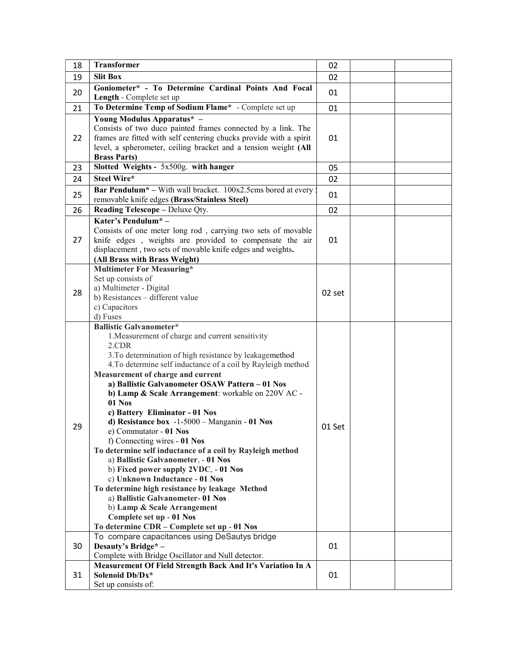| 18 | Transformer                                                                                                                                                                                                                                                                                                                                                                                                                                                                                                                                                                                                                                                                                                                                                                                                                                                                                                | 02     |  |
|----|------------------------------------------------------------------------------------------------------------------------------------------------------------------------------------------------------------------------------------------------------------------------------------------------------------------------------------------------------------------------------------------------------------------------------------------------------------------------------------------------------------------------------------------------------------------------------------------------------------------------------------------------------------------------------------------------------------------------------------------------------------------------------------------------------------------------------------------------------------------------------------------------------------|--------|--|
| 19 | <b>Slit Box</b>                                                                                                                                                                                                                                                                                                                                                                                                                                                                                                                                                                                                                                                                                                                                                                                                                                                                                            | 02     |  |
| 20 | Goniometer* - To Determine Cardinal Points And Focal<br>Length - Complete set up                                                                                                                                                                                                                                                                                                                                                                                                                                                                                                                                                                                                                                                                                                                                                                                                                           | 01     |  |
| 21 | To Determine Temp of Sodium Flame* - Complete set up                                                                                                                                                                                                                                                                                                                                                                                                                                                                                                                                                                                                                                                                                                                                                                                                                                                       | 01     |  |
| 22 | Young Modulus Apparatus* -<br>Consists of two duco painted frames connected by a link. The<br>frames are fitted with self centering chucks provide with a spirit<br>level, a spherometer, ceiling bracket and a tension weight (All<br><b>Brass Parts)</b>                                                                                                                                                                                                                                                                                                                                                                                                                                                                                                                                                                                                                                                 | 01     |  |
| 23 | Slotted Weights - 5x500g. with hanger                                                                                                                                                                                                                                                                                                                                                                                                                                                                                                                                                                                                                                                                                                                                                                                                                                                                      | 05     |  |
| 24 | <b>Steel Wire*</b>                                                                                                                                                                                                                                                                                                                                                                                                                                                                                                                                                                                                                                                                                                                                                                                                                                                                                         | 02     |  |
|    | Bar Pendulum* - With wall bracket. 100x2.5cms bored at every !                                                                                                                                                                                                                                                                                                                                                                                                                                                                                                                                                                                                                                                                                                                                                                                                                                             |        |  |
| 25 | removable knife edges (Brass/Stainless Steel)                                                                                                                                                                                                                                                                                                                                                                                                                                                                                                                                                                                                                                                                                                                                                                                                                                                              | 01     |  |
| 26 | Reading Telescope - Deluxe Qty.                                                                                                                                                                                                                                                                                                                                                                                                                                                                                                                                                                                                                                                                                                                                                                                                                                                                            | 02     |  |
|    | Kater's Pendulum*-                                                                                                                                                                                                                                                                                                                                                                                                                                                                                                                                                                                                                                                                                                                                                                                                                                                                                         |        |  |
| 27 | Consists of one meter long rod, carrying two sets of movable<br>knife edges, weights are provided to compensate the air<br>displacement, two sets of movable knife edges and weights.<br>(All Brass with Brass Weight)                                                                                                                                                                                                                                                                                                                                                                                                                                                                                                                                                                                                                                                                                     | 01     |  |
| 28 | <b>Multimeter For Measuring*</b><br>Set up consists of<br>a) Multimeter - Digital<br>b) Resistances - different value<br>c) Capacitors<br>d) Fuses                                                                                                                                                                                                                                                                                                                                                                                                                                                                                                                                                                                                                                                                                                                                                         | 02 set |  |
| 29 | <b>Ballistic Galvanometer*</b><br>1. Measurement of charge and current sensitivity<br>2.CDR<br>3. To determination of high resistance by leakagemethod<br>4.To determine self inductance of a coil by Rayleigh method<br>Measurement of charge and current<br>a) Ballistic Galvanometer OSAW Pattern - 01 Nos<br>b) Lamp & Scale Arrangement: workable on 220V AC -<br>01 Nos<br>c) Battery Eliminator - 01 Nos<br>d) Resistance box $-1-5000$ – Manganin - 01 Nos<br>e) Commutator - 01 Nos<br>f) Connecting wires - 01 Nos<br>To determine self inductance of a coil by Rayleigh method<br>a) Ballistic Galvanometer, - 01 Nos<br>b) Fixed power supply 2VDC, - 01 Nos<br>c) Unknown Inductance - 01 Nos<br>To determine high resistance by leakage Method<br>a) Ballistic Galvanometer-01 Nos<br>b) Lamp & Scale Arrangement<br>Complete set up - 01 Nos<br>To determine CDR - Complete set up - 01 Nos | 01 Set |  |
| 30 | To compare capacitances using DeSautys bridge<br>Desauty's Bridge* -<br>Complete with Bridge Oscillator and Null detector.                                                                                                                                                                                                                                                                                                                                                                                                                                                                                                                                                                                                                                                                                                                                                                                 | 01     |  |
| 31 | Measurement Of Field Strength Back And It's Variation In A                                                                                                                                                                                                                                                                                                                                                                                                                                                                                                                                                                                                                                                                                                                                                                                                                                                 | 01     |  |